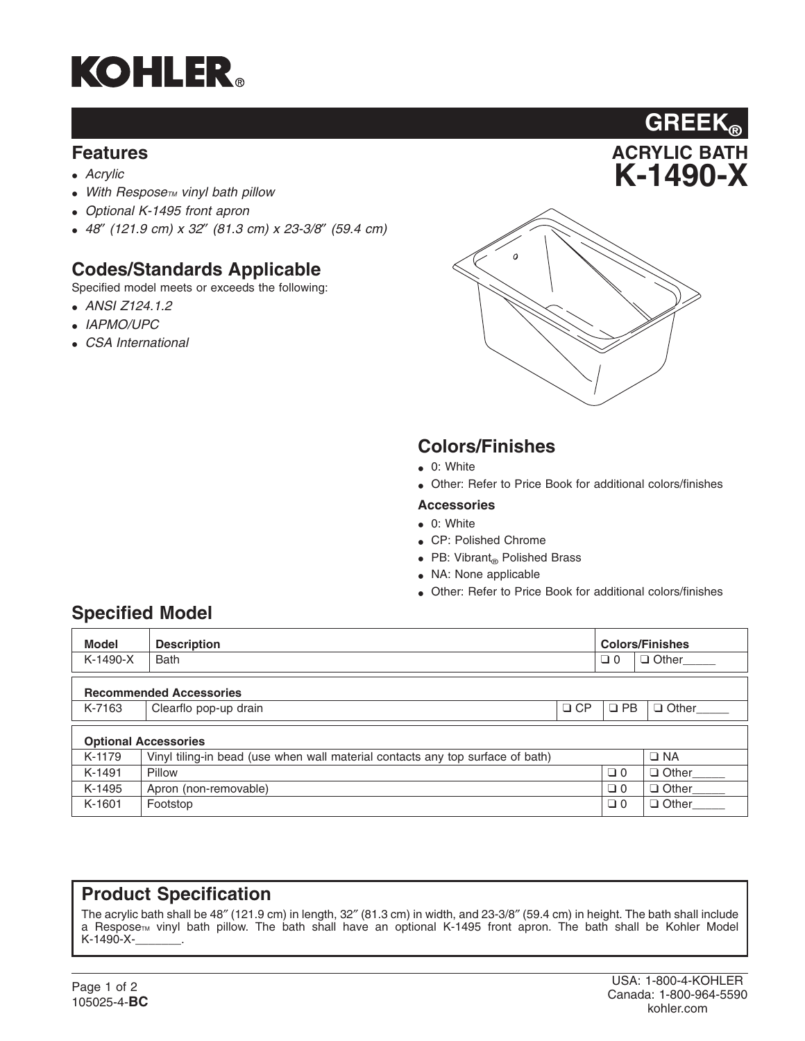

#### **Features**

- *Acrylic*
- With Respose<sub>TM</sub> vinyl bath pillow
- *Optional K-1495 front apron*
- *48*″ *(121.9 cm) x 32*″ *(81.3 cm) x 23-3/8*″ *(59.4 cm)*

### **Codes/Standards Applicable**

Specified model meets or exceeds the following:

- *ANSI Z124.1.2*
- *IAPMO/UPC*
- *CSA International*



**ACRYLIC BATH K-1490-X**

**GREEK®**

#### **Colors/Finishes**

- 0: White
- Other: Refer to Price Book for additional colors/finishes

#### **Accessories**

- 0: White
- CP: Polished Chrome
- PB: Vibrant $_{\circledcirc}$  Polished Brass
- NA: None applicable
- Other: Refer to Price Book for additional colors/finishes

### **Specified Model**

| <b>Model</b>                   | <b>Description</b>                                                             |           | <b>Colors/Finishes</b> |                    |  |  |
|--------------------------------|--------------------------------------------------------------------------------|-----------|------------------------|--------------------|--|--|
| $K-1490-X$                     | <b>Bath</b>                                                                    |           | $\Box$ 0               | Other              |  |  |
| <b>Recommended Accessories</b> |                                                                                |           |                        |                    |  |  |
| K-7163                         | Clearflo pop-up drain                                                          | $\Box$ CP | $\square$ PB           | $\Box$ Other       |  |  |
| <b>Optional Accessories</b>    |                                                                                |           |                        |                    |  |  |
| K-1179                         | Vinyl tiling-in bead (use when wall material contacts any top surface of bath) |           |                        | $\Box$ NA          |  |  |
| K-1491                         | Pillow                                                                         |           | $\Box$ 0               | Other_____         |  |  |
| K-1495                         | Apron (non-removable)                                                          |           | $\Box$ 0               | Other____          |  |  |
| K-1601                         | Footstop                                                                       |           | $\Box$ 0               | Other <sub>1</sub> |  |  |

#### **Product Specification**

The acrylic bath shall be 48″ (121.9 cm) in length, 32″ (81.3 cm) in width, and 23-3/8″ (59.4 cm) in height. The bath shall include a Respose<sub>™</sub> vinyl bath pillow. The bath shall have an optional K-1495 front apron. The bath shall be Kohler Model K-1490-X-